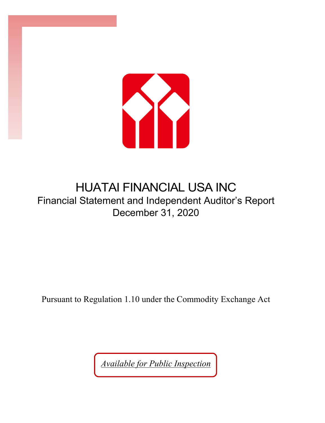

# HUATAI FINANCIAL USA INC Financial Statement and Independent Auditor's Report December 31, 2020

Pursuant to Regulation 1.10 under the Commodity Exchange Act

*Available for Public Inspection*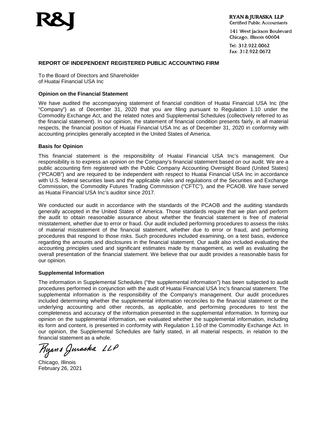

141 West Jackson Boulevard Chicago, Illinois 60604

Tel: 312.922.0062 Fax: 312.922.0672

#### **REPORT OF INDEPENDENT REGISTERED PUBLIC ACCOUNTING FIRM**

To the Board of Directors and Shareholder of Huatai Financial USA Inc

#### **Opinion on the Financial Statement**

We have audited the accompanying statement of financial condition of Huatai Financial USA Inc (the "Company") as of December 31, 2020 that you are filing pursuant to Regulation 1.10 under the Commodity Exchange Act, and the related notes and Supplemental Schedules (collectively referred to as the financial statement). In our opinion, the statement of financial condition presents fairly, in all material respects, the financial position of Huatai Financial USA Inc as of December 31, 2020 in conformity with accounting principles generally accepted in the United States of America.

#### **Basis for Opinion**

This financial statement is the responsibility of Huatai Financial USA Inc's management. Our responsibility is to express an opinion on the Company's financial statement based on our audit. We are a public accounting firm registered with the Public Company Accounting Oversight Board (United States) ("PCAOB") and are required to be independent with respect to Huatai Financial USA Inc in accordance with U.S. federal securities laws and the applicable rules and regulations of the Securities and Exchange Commission, the Commodity Futures Trading Commission ("CFTC"), and the PCAOB. We have served as Huatai Financial USA Inc's auditor since 2017.

We conducted our audit in accordance with the standards of the PCAOB and the auditing standards generally accepted in the United States of America. Those standards require that we plan and perform the audit to obtain reasonable assurance about whether the financial statement is free of material misstatement, whether due to error or fraud. Our audit included performing procedures to assess the risks of material misstatement of the financial statement, whether due to error or fraud, and performing procedures that respond to those risks. Such procedures included examining, on a test basis, evidence regarding the amounts and disclosures in the financial statement. Our audit also included evaluating the accounting principles used and significant estimates made by management, as well as evaluating the overall presentation of the financial statement. We believe that our audit provides a reasonable basis for our opinion.

#### **Supplemental Information**

The information in Supplemental Schedules ("the supplemental information") has been subjected to audit procedures performed in conjunction with the audit of Huatai Financial USA Inc's financial statement. The supplemental information is the responsibility of the Company's management. Our audit procedures included determining whether the supplemental information reconciles to the financial statement or the underlying accounting and other records, as applicable, and performing procedures to test the completeness and accuracy of the information presented in the supplemental information. In forming our opinion on the supplemental information, we evaluated whether the supplemental information, including its form and content, is presented in conformity with Regulation 1.10 of the Commodity Exchange Act. In our opinion, the Supplemental Schedules are fairly stated, in all material respects, in relation to the financial statement as a whole.

Ryans Juraska LLP

Chicago, Illinois February 26, 2021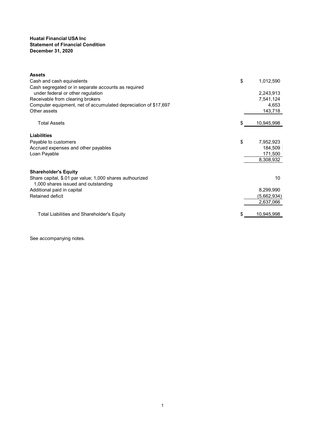#### **Huatai Financial USA Inc Statement of Financial Condition December 31, 2020**

| <b>Assets</b>                                                                                   |                  |
|-------------------------------------------------------------------------------------------------|------------------|
| Cash and cash equivalents                                                                       | \$<br>1,012,590  |
| Cash segregated or in separate accounts as required                                             |                  |
| under federal or other regulation                                                               | 2,243,913        |
| Receivable from clearing brokers                                                                | 7,541,124        |
| Computer equipment, net of accumulated depreciation of \$17,697                                 | 4,653            |
| Other assets                                                                                    | 143,718          |
| <b>Total Assets</b>                                                                             | \$<br>10,945,998 |
| Liabilities                                                                                     |                  |
| Payable to customers                                                                            | \$<br>7,952,923  |
| Accrued expenses and other payables                                                             | 184,509          |
| Loan Payable                                                                                    | 171,500          |
|                                                                                                 | 8,308,932        |
| <b>Shareholder's Equity</b>                                                                     |                  |
| Share capital, \$.01 par value; 1,000 shares authourized<br>1,000 shares issued and outstanding | 10               |
| Additional paid in capital                                                                      | 8,299,990        |
| Retained deficit                                                                                | (5,662,934)      |
|                                                                                                 | 2,637,066        |
|                                                                                                 |                  |
| Total Liabilities and Shareholder's Equity                                                      | \$<br>10,945,998 |
|                                                                                                 |                  |

See accompanying notes.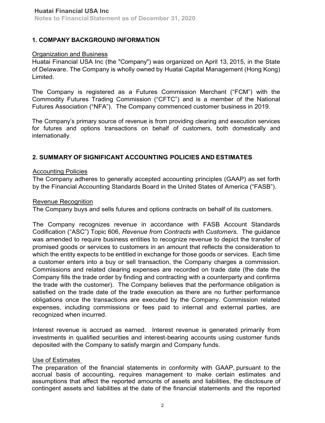# **1. COMPANY BACKGROUND INFORMATION**

## Organization and Business

Huatai Financial USA Inc (the "Company") was organized on April 13, 2015, in the State of Delaware. The Company is wholly owned by Huatai Capital Management (Hong Kong) Limited.

The Company is registered as a Futures Commission Merchant ("FCM") with the Commodity Futures Trading Commission ("CFTC") and is a member of the National Futures Association ("NFA"). The Company commenced customer business in 2019.

The Company's primary source of revenue is from providing clearing and execution services for futures and options transactions on behalf of customers, both domestically and internationally.

# **2. SUMMARY OF SIGNIFICANT ACCOUNTING POLICIES AND ESTIMATES**

### Accounting Policies

The Company adheres to generally accepted accounting principles (GAAP) as set forth by the Financial Accounting Standards Board in the United States of America ("FASB").

### Revenue Recognition

The Company buys and sells futures and options contracts on behalf of its customers.

The Company recognizes revenue in accordance with FASB Account Standards Codification ("ASC") Topic 606, *Revenue from Contracts with Customers.* The guidance was amended to require business entities to recognize revenue to depict the transfer of promised goods or services to customers in an amount that reflects the consideration to which the entity expects to be entitled in exchange for those goods or services. Each time a customer enters into a buy or sell transaction, the Company charges a commission. Commissions and related clearing expenses are recorded on trade date (the date the Company fills the trade order by finding and contracting with a counterparty and confirms the trade with the customer). The Company believes that the performance obligation is satisfied on the trade date of the trade execution as there are no further performance obligations once the transactions are executed by the Company. Commission related expenses, including commissions or fees paid to internal and external parties, are recognized when incurred.

Interest revenue is accrued as earned. Interest revenue is generated primarily from investments in qualified securities and interest-bearing accounts using customer funds deposited with the Company to satisfy margin and Company funds.

## Use of Estimates

The preparation of the financial statements in conformity with GAAP, pursuant to the accrual basis of accounting, requires management to make certain estimates and assumptions that affect the reported amounts of assets and liabilities, the disclosure of contingent assets and liabilities at the date of the financial statements and the reported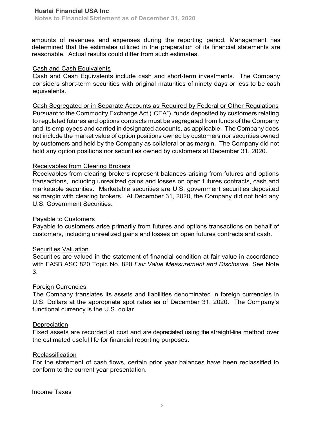amounts of revenues and expenses during the reporting period. Management has determined that the estimates utilized in the preparation of its financial statements are reasonable. Actual results could differ from such estimates.

## Cash and Cash Equivalents

Cash and Cash Equivalents include cash and short-term investments. The Company considers short-term securities with original maturities of ninety days or less to be cash equivalents.

Cash Segregated or in Separate Accounts as Required by Federal or Other Regulations Pursuant to the Commodity Exchange Act ("CEA"), funds deposited by customers relating to regulated futures and options contracts must be segregated from funds of the Company and its employees and carried in designated accounts, as applicable. The Company does not include the market value of option positions owned by customers nor securities owned by customers and held by the Company as collateral or as margin. The Company did not hold any option positions nor securities owned by customers at December 31, 2020.

## Receivables from Clearing Brokers

Receivables from clearing brokers represent balances arising from futures and options transactions, including unrealized gains and losses on open futures contracts, cash and marketable securities. Marketable securities are U.S. government securities deposited as margin with clearing brokers. At December 31, 2020, the Company did not hold any U.S. Government Securities.

# Payable to Customers

Payable to customers arise primarily from futures and options transactions on behalf of customers, including unrealized gains and losses on open futures contracts and cash.

## Securities Valuation

Securities are valued in the statement of financial condition at fair value in accordance with FASB ASC 820 Topic No. 820 *Fair Value Measurement and Disclosure.* See Note 3.

## Foreign Currencies

The Company translates its assets and liabilities denominated in foreign currencies in U.S. Dollars at the appropriate spot rates as of December 31, 2020. The Company's functional currency is the U.S. dollar.

## **Depreciation**

Fixed assets are recorded at cost and are depreciated using the straight-line method over the estimated useful life for financial reporting purposes.

## **Reclassification**

For the statement of cash flows, certain prior year balances have been reclassified to conform to the current year presentation.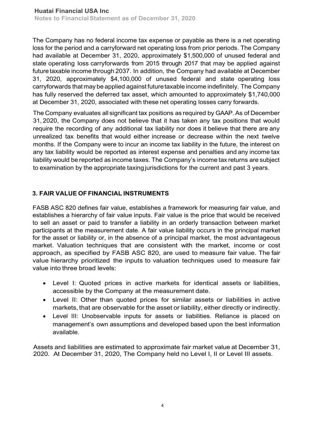The Company has no federal income tax expense or payable as there is a net operating loss for the period and a carryforward net operating loss from prior periods. The Company had available at December 31, 2020, approximately \$1,500,000 of unused federal and state operating loss carryforwards from 2015 through 2017 that may be applied against future taxable income through 2037. In addition, the Company had available at December 31, 2020, approximately \$4,100,000 of unused federal and state operating loss carryforwards that may be applied against futuretaxable income indefinitely. The Company has fully reserved the deferred tax asset, which amounted to approximately \$1,740,000 at December 31, 2020, associated with these net operating losses carry forwards.

The Company evaluates all significant tax positions as required by GAAP. As of December 31, 2020, the Company does not believe that it has taken any tax positions that would require the recording of any additional tax liability nor does it believe that there are any unrealized tax benefits that would either increase or decrease within the next twelve months. If the Company were to incur an income tax liability in the future, the interest on any tax liability would be reported as interest expense and penalties and any income tax liability would be reported as income taxes. The Company's income tax returns are subject to examination by the appropriate taxing jurisdictions for the current and past 3 years.

# **3. FAIR VALUE OF FINANCIAL INSTRUMENTS**

FASB ASC 820 defines fair value, establishes a framework for measuring fair value, and establishes a hierarchy of fair value inputs. Fair value is the price that would be received to sell an asset or paid to transfer a liability in an orderly transaction between market participants at the measurement date. A fair value liability occurs in the principal market for the asset or liability or, in the absence of a principal market, the most advantageous market. Valuation techniques that are consistent with the market, income or cost approach, as specified by FASB ASC 820, are used to measure fair value. The fair value hierarchy prioritized the inputs to valuation techniques used to measure fair value into three broad levels:

- Level I: Quoted prices in active markets for identical assets or liabilities, accessible by the Company at the measurement date.
- Level II: Other than quoted prices for similar assets or liabilities in active markets, that are observable for the asset or liability, either directly or indirectly.
- Level III: Unobservable inputs for assets or liabilities. Reliance is placed on management's own assumptions and developed based upon the best information available.

Assets and liabilities are estimated to approximate fair market value at December 31, 2020. At December 31, 2020, The Company held no Level I, II or Level III assets.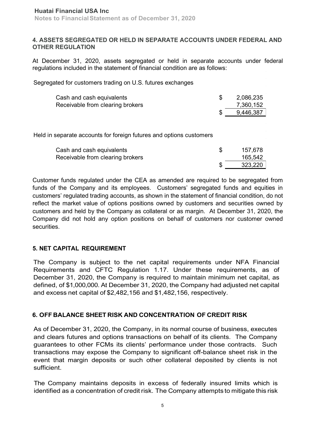## **4. ASSETS SEGREGATED OR HELD IN SEPARATE ACCOUNTS UNDER FEDERAL AND OTHER REGULATION**

At December 31, 2020, assets segregated or held in separate accounts under federal regulations included in the statement of financial condition are as follows:

Segregated for customers trading on U.S. futures exchanges

| Cash and cash equivalents        | 2,086,235 |
|----------------------------------|-----------|
| Receivable from clearing brokers | 7,360,152 |
|                                  | 9,446,387 |

Held in separate accounts for foreign futures and options customers

| Cash and cash equivalents        | 157,678 |
|----------------------------------|---------|
| Receivable from clearing brokers | 165,542 |
|                                  | 323,220 |

Customer funds regulated under the CEA as amended are required to be segregated from funds of the Company and its employees. Customers' segregated funds and equities in customers' regulated trading accounts, as shown in the statement of financial condition, do not reflect the market value of options positions owned by customers and securities owned by customers and held by the Company as collateral or as margin. At December 31, 2020, the Company did not hold any option positions on behalf of customers nor customer owned securities.

# **5. NET CAPITAL REQUIREMENT**

The Company is subject to the net capital requirements under NFA Financial Requirements and CFTC Regulation 1.17. Under these requirements, as of December 31, 2020, the Company is required to maintain minimum net capital, as defined, of \$1,000,000. At December 31, 2020, the Company had adjusted net capital and excess net capital of \$2,482,156 and \$1,482,156, respectively.

# **6. OFF BALANCE SHEET RISK AND CONCENTRATION OF CREDIT RISK**

As of December 31, 2020, the Company, in its normal course of business, executes and clears futures and options transactions on behalf of its clients. The Company guarantees to other FCMs its clients' performance under those contracts. Such transactions may expose the Company to significant off-balance sheet risk in the event that margin deposits or such other collateral deposited by clients is not sufficient.

The Company maintains deposits in excess of federally insured limits which is identified as a concentration of credit risk. The Company attempts to mitigate this risk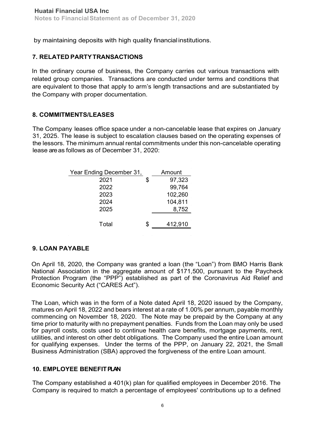by maintaining deposits with high quality financial institutions.

# **7. RELATED PARTYTRANSACTIONS**

In the ordinary course of business, the Company carries out various transactions with related group companies. Transactions are conducted under terms and conditions that are equivalent to those that apply to arm's length transactions and are substantiated by the Company with proper documentation.

## **8. COMMITMENTS/LEASES**

The Company leases office space under a non-cancelable lease that expires on January 31, 2025. The lease is subject to escalation clauses based on the operating expenses of the lessors. The minimum annual rental commitments under this non-cancelable operating lease areas follows as of December 31, 2020:

| Year Ending December 31, | Amount        |
|--------------------------|---------------|
| 2021                     | \$<br>97,323  |
| 2022                     | 99,764        |
| 2023                     | 102,260       |
| 2024                     | 104,811       |
| 2025                     | 8,752         |
|                          |               |
| Total                    | \$<br>412,910 |
|                          |               |

# **9. LOAN PAYABLE**

On April 18, 2020, the Company was granted a loan (the "Loan") from BMO Harris Bank National Association in the aggregate amount of \$171,500, pursuant to the Paycheck Protection Program (the "PPP") established as part of the Coronavirus Aid Relief and Economic Security Act ("CARES Act").

The Loan, which was in the form of a Note dated April 18, 2020 issued by the Company, matures on April 18, 2022 and bears interest at a rate of 1.00% per annum, payable monthly commencing on November 18, 2020. The Note may be prepaid by the Company at any time prior to maturity with no prepayment penalties. Funds from the Loan may only be used for payroll costs, costs used to continue health care benefits, mortgage payments, rent, utilities, and interest on other debt obligations. The Company used the entire Loan amount for qualifying expenses. Under the terms of the PPP, on January 22, 2021, the Small Business Administration (SBA) approved the forgiveness of the entire Loan amount.

# **10. EMPLOYEE BENEFITPLAN**

The Company established a 401(k) plan for qualified employees in December 2016. The Company is required to match a percentage of employees' contributions up to a defined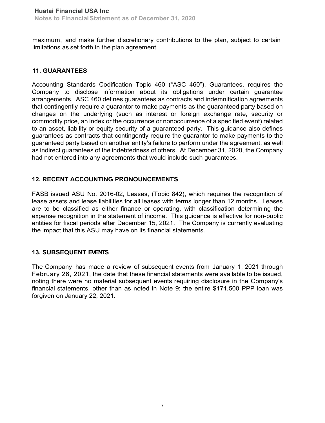maximum, and make further discretionary contributions to the plan, subject to certain limitations as set forth in the plan agreement.

# **11. GUARANTEES**

Accounting Standards Codification Topic 460 ("ASC 460"), Guarantees, requires the Company to disclose information about its obligations under certain guarantee arrangements. ASC 460 defines guarantees as contracts and indemnification agreements that contingently require a guarantor to make payments as the guaranteed party based on changes on the underlying (such as interest or foreign exchange rate, security or commodity price, an index or the occurrence or nonoccurrence of a specified event) related to an asset, liability or equity security of a guaranteed party. This guidance also defines guarantees as contracts that contingently require the guarantor to make payments to the guaranteed party based on another entity's failure to perform under the agreement, as well as indirect guarantees of the indebtedness of others. At December 31, 2020, the Company had not entered into any agreements that would include such guarantees.

# **12. RECENT ACCOUNTING PRONOUNCEMENTS**

FASB issued ASU No. 2016-02, Leases, (Topic 842), which requires the recognition of lease assets and lease liabilities for all leases with terms longer than 12 months. Leases are to be classified as either finance or operating, with classification determining the expense recognition in the statement of income. This guidance is effective for non-public entities for fiscal periods after December 15, 2021. The Company is currently evaluating the impact that this ASU may have on its financial statements.

# **13. SUBSEQUENT EVENTS**

The Company has made a review of subsequent events from January 1, 2021 through February 26, 2021, the date that these financial statements were available to be issued, noting there were no material subsequent events requiring disclosure in the Company's financial statements, other than as noted in Note 9; the entire \$171,500 PPP loan was forgiven on January 22, 2021.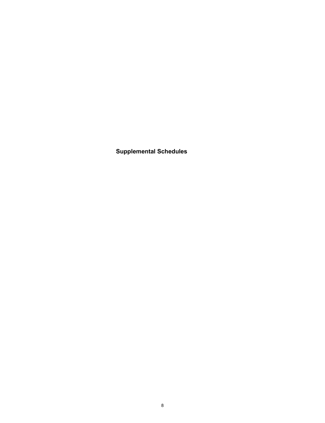**Supplemental Schedules**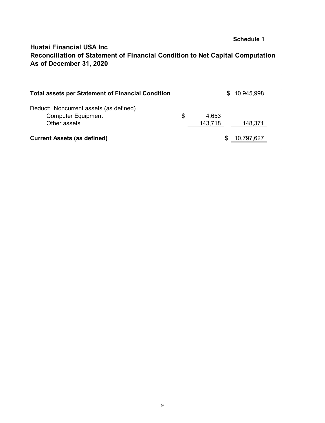# **Huatai Financial USA Inc As of December 31, 2020 Reconciliation of Statement of Financial Condition to Net Capital Computation**

| <b>Total assets per Statement of Financial Condition</b>                            |                        | \$. | 10,945,998 |
|-------------------------------------------------------------------------------------|------------------------|-----|------------|
| Deduct: Noncurrent assets (as defined)<br><b>Computer Equipment</b><br>Other assets | \$<br>4,653<br>143,718 |     | 148,371    |
| <b>Current Assets (as defined)</b>                                                  |                        |     | 10,797,627 |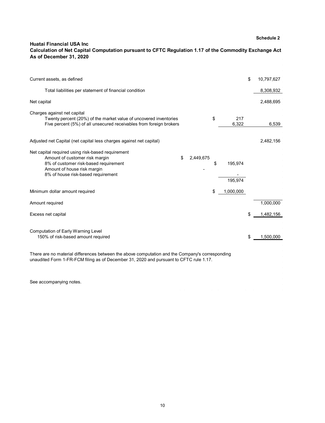#### **Huatai Financial USA Inc As of December 31, 2020 Calculation of Net Capital Computation pursuant to CFTC Regulation 1.17 of the Commodity Exchange Act**

| Current assets, as defined                                                                                                                                                                                           |    |                    | \$ | 10,797,627 |
|----------------------------------------------------------------------------------------------------------------------------------------------------------------------------------------------------------------------|----|--------------------|----|------------|
| Total liabilities per statement of financial condition                                                                                                                                                               |    |                    |    | 8,308,932  |
| Net capital                                                                                                                                                                                                          |    |                    |    | 2,488,695  |
| Charges against net capital<br>Twenty percent (20%) of the market value of uncovered inventories<br>Five percent (5%) of all unsecured receivables from foreign brokers                                              | \$ | 217<br>6,322       |    | 6,539      |
| Adjusted net Capital (net capital less charges against net capital)                                                                                                                                                  |    |                    |    | 2,482,156  |
| Net capital required using risk-based requirement<br>Amount of customer risk margin<br>\$<br>2,449,675<br>8% of customer risk-based requirement<br>Amount of house risk margin<br>8% of house risk-based requirement | \$ | 195,974<br>195,974 |    |            |
| Minimum dollar amount required                                                                                                                                                                                       | \$ | 1,000,000          |    |            |
| Amount required                                                                                                                                                                                                      |    |                    |    | 1,000,000  |
| Excess net capital                                                                                                                                                                                                   |    |                    | \$ | 1,482,156  |
| Computation of Early Warning Level<br>150% of risk-based amount required                                                                                                                                             |    |                    | \$ | 1,500,000  |
| There are no material differences between the above computation and the Company's corresponding<br>unaudited Form 1-FR-FCM filing as of December 31, 2020 and pursuant to CFTC rule 1.17.                            |    |                    |    |            |
| See accompanying notes.                                                                                                                                                                                              |    |                    |    |            |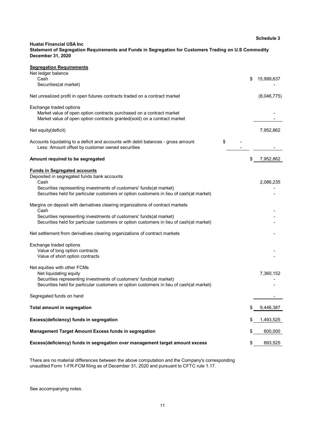|                                                                                                                                                                                                                                                              |    | <b>Schedule 3</b> |  |  |
|--------------------------------------------------------------------------------------------------------------------------------------------------------------------------------------------------------------------------------------------------------------|----|-------------------|--|--|
| <b>Huatai Financial USA Inc</b><br>Statement of Segregation Requirements and Funds in Segregation for Customers Trading on U.S Commodity<br>December 31, 2020                                                                                                |    |                   |  |  |
| <b>Segregation Requirements</b><br>Net ledger balance<br>Cash                                                                                                                                                                                                | S  | 15,999,637        |  |  |
| Securities (at market)                                                                                                                                                                                                                                       |    |                   |  |  |
| Net unrealized profit in open futures contracts traded on a contract market                                                                                                                                                                                  |    | (8,046,775)       |  |  |
| Exchange traded options<br>Market value of open option contracts purchased on a contract market<br>Market value of open option contracts granted(sold) on a contract market                                                                                  |    |                   |  |  |
| Net equity(deficit)                                                                                                                                                                                                                                          |    | 7,952,862         |  |  |
| \$<br>Accounts liquidating to a deficit and accounts with debit balances - gross amount<br>Less: Amount offset by customer owned securities                                                                                                                  |    |                   |  |  |
| Amount required to be segregated                                                                                                                                                                                                                             | \$ | 7,952,862         |  |  |
| <b>Funds in Segregated accounts</b><br>Deposited in segregated funds bank accounts<br>Cash<br>Securities representing investments of customers' funds (at market)<br>Securities held for particular customers or option customers in lieu of cash(at market) |    | 2,086,235         |  |  |
| Margins on deposit with derivatives clearing organizations of contract markets<br>Cash<br>Securities representing investments of customers' funds(at market)<br>Securities held for particular customers or option customers in lieu of cash(at market)      |    |                   |  |  |
| Net settlement from derivatives clearing organizations of contract markets                                                                                                                                                                                   |    |                   |  |  |
| Exchange traded options<br>Value of long option contracts<br>Value of short option contracts                                                                                                                                                                 |    |                   |  |  |
| Net equities with other FCMs<br>Net liquidating equity<br>Securities representing investments of customers' funds (at market)<br>Securities held for particular customers or option customers in lieu of cash(at market)                                     |    | 7,360,152         |  |  |
| Segregated funds on hand                                                                                                                                                                                                                                     |    |                   |  |  |
| <b>Total amount in segregation</b>                                                                                                                                                                                                                           | \$ | 9,446,387         |  |  |
| Excess(deficiency) funds in segregation                                                                                                                                                                                                                      |    | 1,493,525         |  |  |
| Management Target Amount Excess funds in segregation                                                                                                                                                                                                         | \$ | 600,000           |  |  |
| Excess(deficiency) funds in segregation over management target amount excess                                                                                                                                                                                 | \$ | 893,525           |  |  |
| There are no material differences between the above computation and the Company's corresponding                                                                                                                                                              |    |                   |  |  |

See accompanying notes.

unaudited Form 1-FR-FCM filing as of December 31, 2020 and pursuant to CFTC rule 1.17.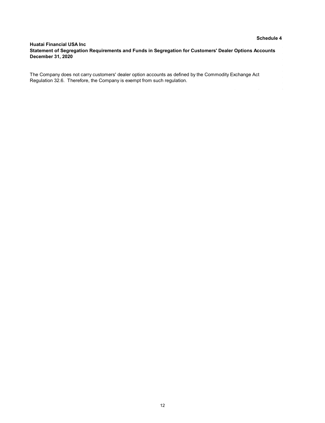#### **Huatai Financial USA Inc December 31, 2020 Statement of Segregation Requirements and Funds in Segregation for Customers' Dealer Options Accounts**

The Company does not carry customers' dealer option accounts as defined by the Commodity Exchange Act Regulation 32.6. Therefore, the Company is exempt from such regulation.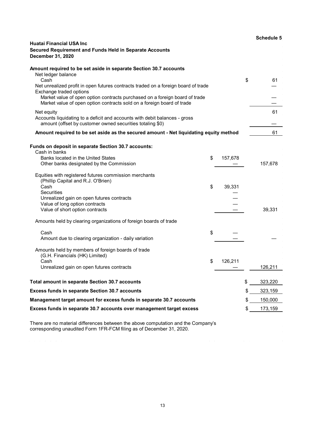| Huatai Financial USA Inc<br>Secured Requirement and Funds Held in Separate Accounts<br><b>December 31, 2020</b>                                       | <b>Schedule 5</b> |
|-------------------------------------------------------------------------------------------------------------------------------------------------------|-------------------|
| Amount required to be set aside in separate Section 30.7 accounts<br>Net ledger balance                                                               |                   |
| Cash<br>Net unrealized profit in open futures contracts traded on a foreign board of trade                                                            | \$<br>61          |
| Exchange traded options                                                                                                                               |                   |
| Market value of open option contracts purchased on a foreign board of trade<br>Market value of open option contracts sold on a foreign board of trade |                   |
| Net equity<br>Accounts liquidating to a deficit and accounts with debit balances - gross<br>amount (offset by customer owned securities totaling \$0) | 61                |
| Amount required to be set aside as the secured amount - Net liquidating equity method                                                                 | 61                |
| <b>Funds on deposit in separate Section 30.7 accounts:</b><br>Cash in banks                                                                           |                   |
| Banks located in the United States<br>\$<br>157,678                                                                                                   |                   |
| Other banks designated by the Commission                                                                                                              | 157,678           |
| Equities with registered futures commission merchants<br>(Phillip Capital and R.J. O'Brien)                                                           |                   |
| Cash<br>\$<br>39,331                                                                                                                                  |                   |
| Securities                                                                                                                                            |                   |
| Unrealized gain on open futures contracts<br>Value of long option contracts                                                                           |                   |
| Value of short option contracts                                                                                                                       | 39,331            |
| Amounts held by clearing organizations of foreign boards of trade                                                                                     |                   |
| \$<br>Cash                                                                                                                                            |                   |
| Amount due to clearing organization - daily variation                                                                                                 |                   |
| Amounts held by members of foreign boards of trade<br>(G.H. Financials (HK) Limited)                                                                  |                   |
| Cash<br>\$<br>126,211                                                                                                                                 |                   |
| Unrealized gain on open futures contracts                                                                                                             | 126,211           |
| Total amount in separate Section 30.7 accounts                                                                                                        | \$<br>323,220     |
| <b>Excess funds in separate Section 30.7 accounts</b>                                                                                                 | \$<br>323,159     |
| Management target amount for excess funds in separate 30.7 accounts                                                                                   | \$<br>150,000     |
| Excess funds in separate 30.7 accounts over management target excess                                                                                  | \$<br>173,159     |

There are no material differences between the above computation and the Company's corresponding unaudited Form 1FR-FCM filing as of December 31, 2020.